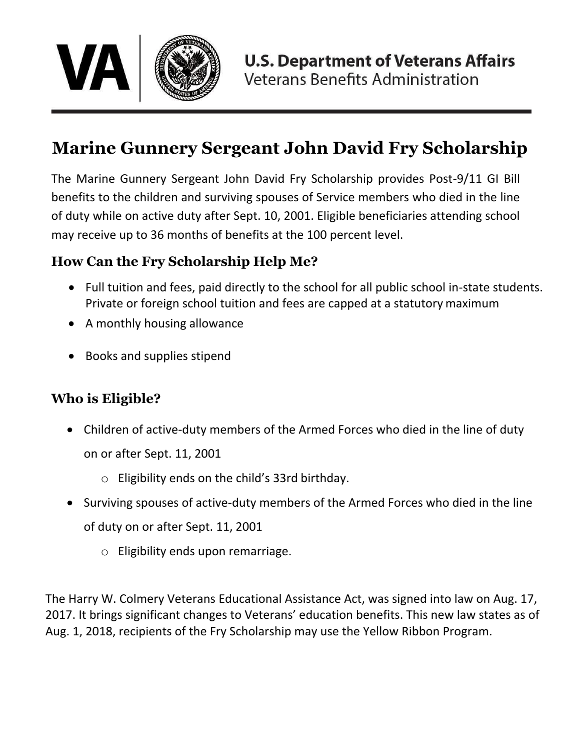

# **Marine Gunnery Sergeant John David Fry Scholarship**

The Marine Gunnery Sergeant John David Fry Scholarship provides Post-9/11 GI Bill benefits to the children and surviving spouses of Service members who died in the line of duty while on active duty after Sept. 10, 2001. Eligible beneficiaries attending school may receive up to 36 months of benefits at the 100 percent level.

# **How Can the Fry Scholarship Help Me?**

- Full tuition and fees, paid directly to the school for all public school in-state students. Private or foreign school tuition and fees are capped at a statutory maximum
- A monthly housing allowance
- Books and supplies stipend

# **Who is Eligible?**

- Children of active-duty members of the Armed Forces who died in the line of duty on or after Sept. 11, 2001
	-
- Surviving spouses of active-duty members of the Armed Forces who died in the line
	- of duty on or after Sept. 11, 2001
		- o Eligibility ends upon remarriage.

o Eligibility ends on the child's 33rd birthday.

The Harry W. Colmery Veterans Educational Assistance Act, was signed into law on Aug. 17, 2017. It brings significant changes to Veterans' education benefits. This new law states as of Aug. 1, 2018, recipients of the Fry Scholarship may use the Yellow Ribbon Program.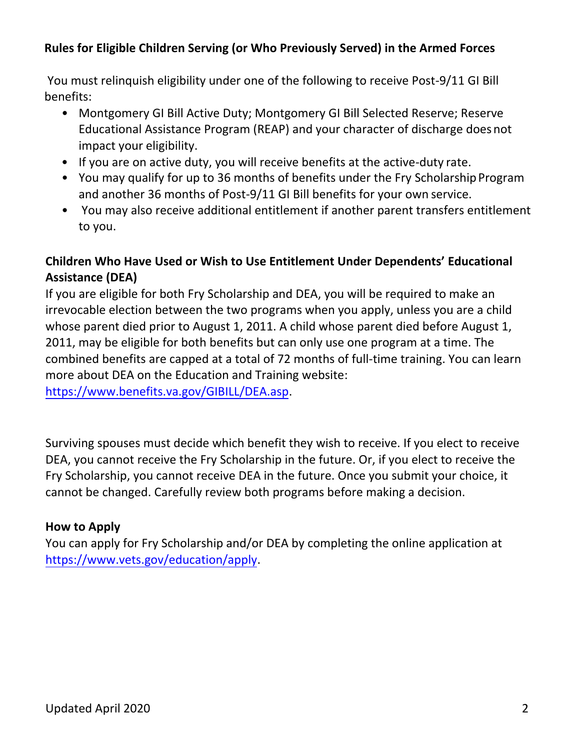## **Rules for Eligible Children Serving (or Who Previously Served) in the Armed Forces**

You must relinquish eligibility under one of the following to receive Post-9/11 GI Bill benefits:

- Montgomery GI Bill Active Duty; Montgomery GI Bill Selected Reserve; Reserve Educational Assistance Program (REAP) and your character of discharge doesnot impact your eligibility.
- If you are on active duty, you will receive benefits at the active-duty rate.
- You may qualify for up to 36 months of benefits under the Fry Scholarship Program and another 36 months of Post-9/11 GI Bill benefits for your own service.
- You may also receive additional entitlement if another parent transfers entitlement to you.

## **Children Who Have Used or Wish to Use Entitlement Under Dependents' Educational Assistance (DEA)**

If you are eligible for both Fry Scholarship and DEA, you will be required to make an irrevocable election between the two programs when you apply, unless you are a child whose parent died prior to August 1, 2011. A child whose parent died before August 1, 2011, may be eligible for both benefits but can only use one program at a time. The combined benefits are capped at a total of 72 months of full-time training. You can learn more about DEA on the Education and Training website: [https://www.benefits.va.gov/GIBILL/DEA.asp.](https://www.benefits.va.gov/GIBILL/DEA.asp)

Surviving spouses must decide which benefit they wish to receive. If you elect to receive DEA, you cannot receive the Fry Scholarship in the future. Or, if you elect to receive the Fry Scholarship, you cannot receive DEA in the future. Once you submit your choice, it cannot be changed. Carefully review both programs before making a decision.

## **How to Apply**

You can apply for Fry Scholarship and/or DEA by completing the online application at [https://www.vets.gov/education/apply.](https://www.vets.gov/education/apply)